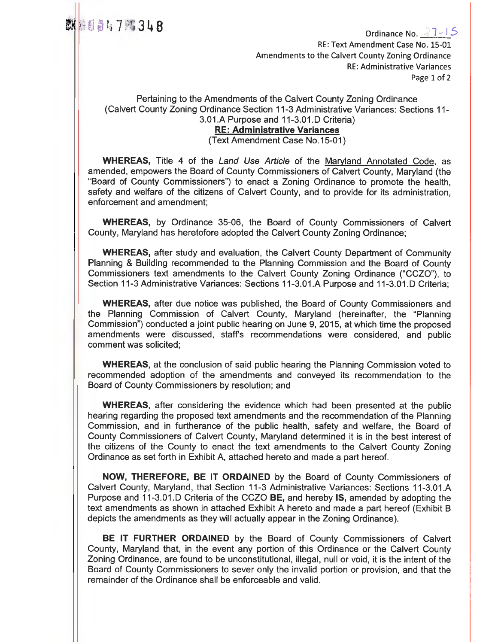3 1+ 8 Ordinance No. r 1 — I 5 RE: Text Amendment Case No. 15-01 Amendments to the Calvert County Zoning Ordinance RE: Administrative Variances Page 1 of 2

Pertaining to the Amendments of the Calvert County Zoning Ordinance (Calvert County Zoning Ordinance Section 11-3 Administrative Variances: Sections 11- 3.01.A Purpose and 11-3.01.D Criteria)

## **RE: Administrative Variances**

(Text Amendment Case No.15-01)

**WHEREAS,** Title 4 of the *Land Use Article* of the Maryland Annotated Code, as amended, empowers the Board of County Commissioners of Calvert County, Maryland (the "Board of County Commissioners") to enact a Zoning Ordinance to promote the health, safety and welfare of the citizens of Calvert County, and to provide for its administration, enforcement and amendment;

**WHEREAS,** by Ordinance 35-06, the Board of County Commissioners of Calvert County, Maryland has heretofore adopted the Calvert County Zoning Ordinance;

**WHEREAS,** after study and evaluation, the Calvert County Department of Community Planning & Building recommended to the Planning Commission and the Board of County Commissioners text amendments to the Calvert County Zoning Ordinance ("CCZO"), to Section 11-3 Administrative Variances: Sections 11-3.01.A Purpose and 11-3.01.D Criteria;

**WHEREAS,** after due notice was published, the Board of County Commissioners and the Planning Commission of Calvert County, Maryland (hereinafter, the "Planning Commission") conducted a joint public hearing on June 9, 2015, at which time the proposed amendments were discussed, staffs recommendations were considered, and public comment was solicited;

**WHEREAS,** at the conclusion of said public hearing the Planning Commission voted to recommended adoption of the amendments and conveyed its recommendation to the Board of County Commissioners by resolution; and

**WHEREAS,** after considering the evidence which had been presented at the public hearing regarding the proposed text amendments and the recommendation of the Planning Commission, and in furtherance of the public health, safety and welfare, the Board of County Commissioners of Calvert County, Maryland determined it is in the best interest of the citizens of the County to enact the text amendments to the Calvert County Zoning Ordinance as set forth in Exhibit A, attached hereto and made a part hereof.

**NOW, THEREFORE, BE IT ORDAINED** by the Board of County Commissioners of Calvert County, Maryland, that Section 11-3 Administrative Variances: Sections 11-3.01.A Purpose and 11-3.01.D Criteria of the CCZO **BE,** and hereby **IS,** amended by adopting the text amendments as shown in attached Exhibit A hereto and made a part hereof (Exhibit B depicts the amendments as they will actually appear in the Zoning Ordinance).

**BE IT FURTHER ORDAINED** by the Board of County Commissioners of Calvert County, Maryland that, in the event any portion of this Ordinance or the Calvert County Zoning Ordinance, are found to be unconstitutional, illegal, null or void, it is the intent of the Board of County Commissioners to sever only the invalid portion or provision, and that the remainder of the Ordinance shall be enforceable and valid.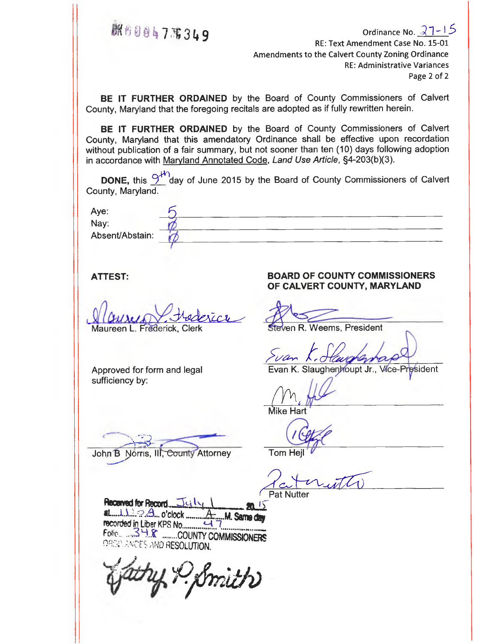4fI . • gmt **<sup>7</sup>11; 9** Ordinance No. *1*-- <sup>15</sup> RE: Text Amendment Case No. 15-01 Amendments to the Calvert County Zoning Ordinance RE: Administrative Variances Page 2 of 2

**BE IT FURTHER ORDAINED** by the Board of County Commissioners of Calvert County, Maryland that the foregoing recitals are adopted as if fully rewritten herein.

**BE IT FURTHER ORDAINED** by the Board of County Commissioners of Calvert County, Maryland that this amendatory Ordinance shall be effective upon recordation without publication of a fair summary, but not sooner than ten (10) days following adoption in accordance with Maryland Annotated Code, Land Use Article, §4-203(b)(3).

**DONE,** this  $\frac{9^{40}}{4}$  day of June 2015 by the Board of County Commissioners of Calvert County, Maryland.

| Aye:            |  |
|-----------------|--|
| Nay:            |  |
| Absent/Abstain: |  |
|                 |  |

 $\sqrt{C}$ 

Maureen **L.** Frederick, Clerk

Approved for form and legal sufficiency by:

Mike Hart

John B Norris, III, County Attorney

Tom Hei

Pat Nutter

**Received for Record n-Li t.,pa ji at .1 '** c'D . o'clock **Same day** recorded in Liber KPS No `--4 Folio 34.8 ........COUNTY COMMISSIONERS ORDA ANDES AND RESOLUTION.

(P. Smith)

#### **ATTEST: BOARD OF COUNTY COMMISSIONERS OF CALVERT COUNTY, MARYLAND**

**Steven R. Weems, President** 

Evan K. Slaughenhoupt Jr., Vice-President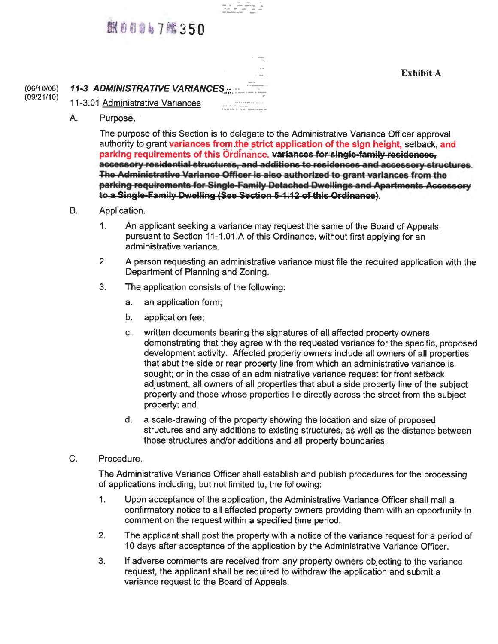## 联身自身 47 踏350

**Exhibit A** 

## (06/10/08) **11-3 ADMINISTRATIVE VARIANCES** (09/21/10)

- 11-3.01 Administrative Variances
	- A. Purpose.

The purpose of this Section is to delegate to the Administrative Variance Officer approval authority to grant variances from the strict application of the sign height, setback, and parking requirements of this Ordinance. variances for single-family residences. accessory residential structures, and additions to residences and accessory structures. The Administrative Variance Officer is also authorized to grant variances from the parking requirements for Single-Family Detached Dwellings and Apartments Accessory to a Single-Family Dwelling (See Section 5-1.12 of this Ordinance).

- B. Application.
	- 1. An applicant seeking a variance may request the same of the Board of Appeals, pursuant to Section 11-1.01.A of this Ordinance, without first applying for an administrative variance.

- 2. A person requesting an administrative variance must file the required application with the Department of Planning and Zoning.
- 3. The application consists of the following:
	- a. an application form;
	- b. application fee;
	- c. written documents bearing the signatures of all affected property owners demonstrating that they agree with the requested variance for the specific, proposed development activity. Affected property owners include all owners of all properties that abut the side or rear property line from which an administrative variance is sought; or in the case of an administrative variance request for front setback adjustment, all owners of all properties that abut a side property line of the subject property and those whose properties lie directly across the street from the subject property; and
	- d. a scale-drawing of the property showing the location and size of proposed structures and any additions to existing structures, as well as the distance between those structures and/or additions and all property boundaries.
- C. Procedure.

The Administrative Variance Officer shall establish and publish procedures for the processing of applications including, but not limited to, the following:

- 1. Upon acceptance of the application, the Administrative Variance Officer shall mail a confirmatory notice to all affected property owners providing them with an opportunity to comment on the request within a specified time period.
- 2. The applicant shall post the property with a notice of the variance request for a period of 10 days after acceptance of the application by the Administrative Variance Officer.
- 3. If adverse comments are received from any property owners objecting to the variance request, the applicant shall be required to withdraw the application and submit a variance request to the Board of Appeals.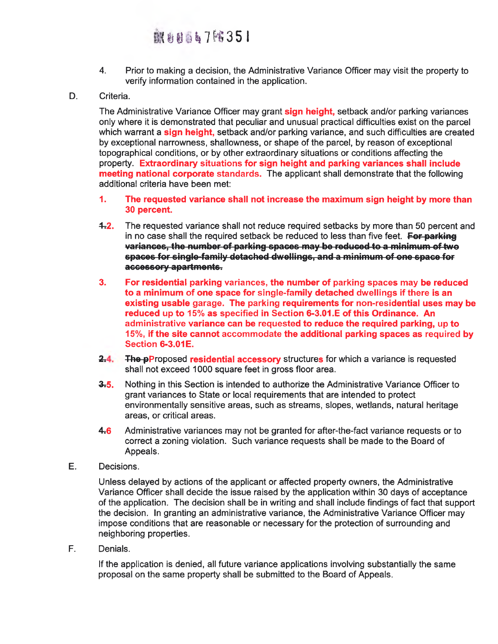# **KHH567 8351**

- 4. Prior to making a decision, the Administrative Variance Officer may visit the property to verify information contained in the application.
- D. Criteria.

The Administrative Variance Officer may grant **sign height,** setback and/or parking variances only where it is demonstrated that peculiar and unusual practical difficulties exist on the parcel which warrant a **sign height,** setback and/or parking variance, and such difficulties are created by exceptional narrowness, shallowness, or shape of the parcel, by reason of exceptional topographical conditions, or by other extraordinary situations or conditions affecting the property. **Extraordinary** situations **for sign height and parking variances shall include meeting national corporate** standards. The applicant shall demonstrate that the following additional criteria have been met:

- **1. The requested variance shall not increase the maximum sign height by more than 30 percent.**
- **4,2.** The requested variance shall not reduce required setbacks by more than 50 percent and in no case shall the required setback be reduced to less than five feet. **Fer-parking**  spaces for single-family detached dwellings, and a minimum of one space for accessory apartments.
- **3. For residential parking** variances, **the number of parking spaces may be reduced to a minimum of one space for single-family detached dwellings if there is an existing usable garage. The parking requirements for non-residential uses may be reduced up to** 15% **as** specified **in Section 6-3.01.E of this Ordinance. An**  administrative **variance can be requested to reduce the required parking, up to 15%, if the site cannot** accommodate **the additional parking spaces as** required **by**  Section **6-3.01E.**
- $2.4.$ **The-pProposed residential accessory** structures for which a variance is requested shall not exceed 1000 square feet in gross floor area.
- **&5.** Nothing in this Section is intended to authorize the Administrative Variance Officer to grant variances to State or local requirements that are intended to protect environmentally sensitive areas, such as streams, slopes, wetlands, natural heritage areas, or critical areas.
- **4.6.** Administrative variances may not be granted for after-the-fact variance requests or to correct a zoning violation. Such variance requests shall be made to the Board of Appeals.
- E. Decisions.

Unless delayed by actions of the applicant or affected property owners, the Administrative Variance Officer shall decide the issue raised by the application within 30 days of acceptance of the application. The decision shall be in writing and shall include findings of fact that support the decision. In granting an administrative variance, the Administrative Variance Officer may impose conditions that are reasonable or necessary for the protection of surrounding and neighboring properties.

F. Denials.

If the application is denied, all future variance applications involving substantially the same proposal on the same property shall be submitted to the Board of Appeals.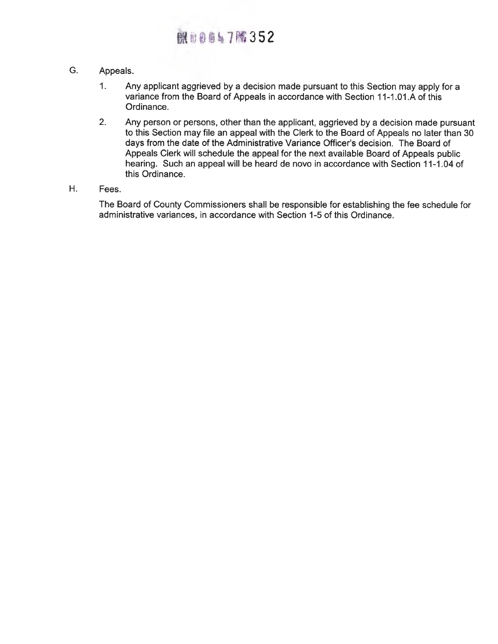# **課前書簡17階352**

- G. Appeals.
	- 1. Any applicant aggrieved by a decision made pursuant to this Section may apply for a variance from the Board of Appeals in accordance with Section 11-1.01.A of this Ordinance.
	- 2. Any person or persons, other than the applicant, aggrieved by a decision made pursuant to this Section may file an appeal with the Clerk to the Board of Appeals no later than 30 days from the date of the Administrative Variance Officer's decision. The Board of Appeals Clerk will schedule the appeal for the next available Board of Appeals public hearing. Such an appeal will be heard de novo in accordance with Section 11-1.04 of this Ordinance.

## H. Fees.

The Board of County Commissioners shall be responsible for establishing the fee schedule for administrative variances, in accordance with Section 1-5 of this Ordinance.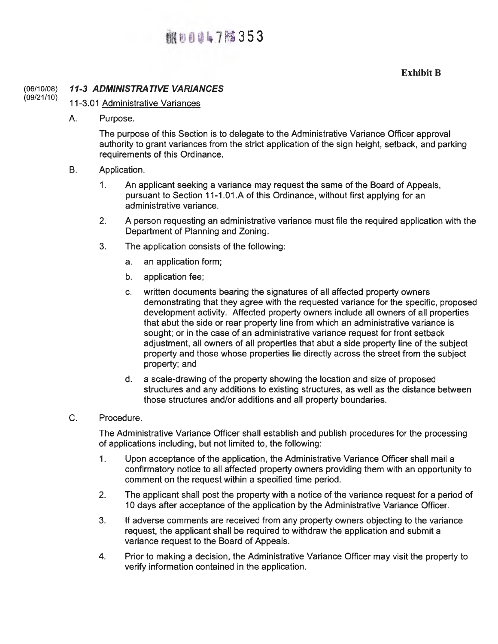## **翻り0047%353**

## **Exhibit B**

#### (06/10/08) (09/21/10) **11-3** *ADMINISTRATIVE VARIANCES*

## 11-3.01 Administrative Variances

A. Purpose.

The purpose of this Section is to delegate to the Administrative Variance Officer approval authority to grant variances from the strict application of the sign height, setback, and parking requirements of this Ordinance.

- B. Application.
	- 1. An applicant seeking a variance may request the same of the Board of Appeals, pursuant to Section 11-1.01A of this Ordinance, without first applying for an administrative variance.
	- 2. A person requesting an administrative variance must file the required application with the Department of Planning and Zoning.
	- 3. The application consists of the following:
		- a. an application form;
		- b. application fee;
		- c. written documents bearing the signatures of all affected property owners demonstrating that they agree with the requested variance for the specific, proposed development activity. Affected property owners include all owners of all properties that abut the side or rear property line from which an administrative variance is sought; or in the case of an administrative variance request for front setback adjustment, all owners of all properties that abut a side property line of the subject property and those whose properties lie directly across the street from the subject property; and
		- d. a scale-drawing of the property showing the location and size of proposed structures and any additions to existing structures, as well as the distance between those structures and/or additions and all property boundaries.
- C. Procedure.

The Administrative Variance Officer shall establish and publish procedures for the processing of applications including, but not limited to, the following:

- 1. Upon acceptance of the application, the Administrative Variance Officer shall mail a confirmatory notice to all affected property owners providing them with an opportunity to comment on the request within a specified time period.
- 2. The applicant shall post the property with a notice of the variance request for a period of 10 days after acceptance of the application by the Administrative Variance Officer.
- 3. If adverse comments are received from any property owners objecting to the variance request, the applicant shall be required to withdraw the application and submit a variance request to the Board of Appeals.
- 4. Prior to making a decision, the Administrative Variance Officer may visit the property to verify information contained in the application.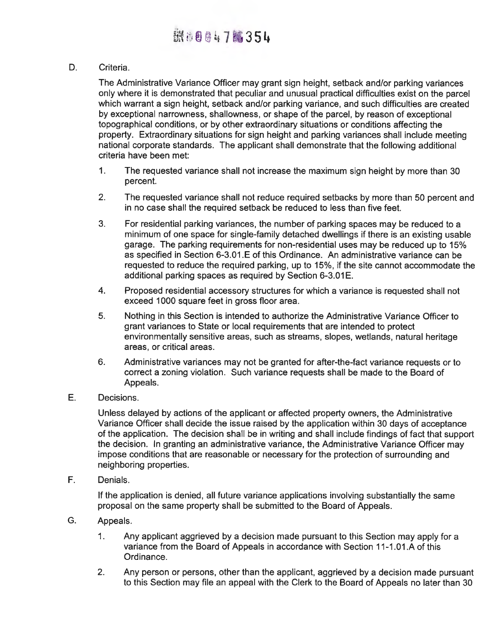D. Criteria.

The Administrative Variance Officer may grant sign height, setback and/or parking variances only where it is demonstrated that peculiar and unusual practical difficulties exist on the parcel which warrant a sign height, setback and/or parking variance, and such difficulties are created by exceptional narrowness, shallowness, or shape of the parcel, by reason of exceptional topographical conditions, or by other extraordinary situations or conditions affecting the property. Extraordinary situations for sign height and parking variances shall include meeting national corporate standards. The applicant shall demonstrate that the following additional criteria have been met:

- 1. The requested variance shall not increase the maximum sign height by more than 30 percent.
- 2. The requested variance shall not reduce required setbacks by more than 50 percent and in no case shall the required setback be reduced to less than five feet.
- 3. For residential parking variances, the number of parking spaces may be reduced to a minimum of one space for single-family detached dwellings if there is an existing usable garage. The parking requirements for non-residential uses may be reduced up to 15% as specified in Section 6-3.01.E of this Ordinance. An administrative variance can be requested to reduce the required parking, up to 15%, if the site cannot accommodate the additional parking spaces as required by Section 6-3.01E.
- 4. Proposed residential accessory structures for which a variance is requested shall not exceed 1000 square feet in gross floor area.
- 5. Nothing in this Section is intended to authorize the Administrative Variance Officer to grant variances to State or local requirements that are intended to protect environmentally sensitive areas, such as streams, slopes, wetlands, natural heritage areas, or critical areas.
- 6. Administrative variances may not be granted for after-the-fact variance requests or to correct a zoning violation. Such variance requests shall be made to the Board of Appeals.
- E. Decisions.

Unless delayed by actions of the applicant or affected property owners, the Administrative Variance Officer shall decide the issue raised by the application within 30 days of acceptance of the application. The decision shall be in writing and shall include findings of fact that support the decision. In granting an administrative variance, the Administrative Variance Officer may impose conditions that are reasonable or necessary for the protection of surrounding and neighboring properties.

F. Denials.

If the application is denied, all future variance applications involving substantially the same proposal on the same property shall be submitted to the Board of Appeals.

- G. Appeals.
	- 1. Any applicant aggrieved by a decision made pursuant to this Section may apply for a variance from the Board of Appeals in accordance with Section 11-1.01.A of this Ordinance.
	- 2. Any person or persons, other than the applicant, aggrieved by a decision made pursuant to this Section may file an appeal with the Clerk to the Board of Appeals no later than 30